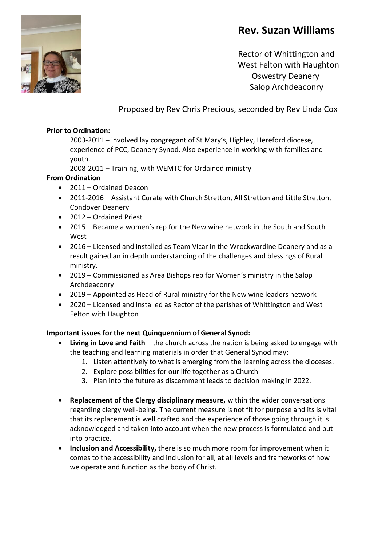# **Rev. Suzan Williams**



 Rector of Whittington and West Felton with Haughton Oswestry Deanery Salop Archdeaconry

# Proposed by Rev Chris Precious, seconded by Rev Linda Cox

#### **Prior to Ordination:**

2003-2011 – involved lay congregant of St Mary's, Highley, Hereford diocese, experience of PCC, Deanery Synod. Also experience in working with families and youth.

2008-2011 – Training, with WEMTC for Ordained ministry

## **From Ordination**

- 2011 Ordained Deacon
- 2011-2016 Assistant Curate with Church Stretton, All Stretton and Little Stretton, Condover Deanery
- 2012 Ordained Priest
- 2015 Became a women's rep for the New wine network in the South and South West
- 2016 Licensed and installed as Team Vicar in the Wrockwardine Deanery and as a result gained an in depth understanding of the challenges and blessings of Rural ministry.
- 2019 Commissioned as Area Bishops rep for Women's ministry in the Salop Archdeaconry
- 2019 Appointed as Head of Rural ministry for the New wine leaders network
- 2020 Licensed and Installed as Rector of the parishes of Whittington and West Felton with Haughton

## **Important issues for the next Quinquennium of General Synod:**

- **Living in Love and Faith** the church across the nation is being asked to engage with the teaching and learning materials in order that General Synod may:
	- 1. Listen attentively to what is emerging from the learning across the dioceses.
	- 2. Explore possibilities for our life together as a Church
	- 3. Plan into the future as discernment leads to decision making in 2022.
- **Replacement of the Clergy disciplinary measure,** within the wider conversations regarding clergy well-being. The current measure is not fit for purpose and its is vital that its replacement is well crafted and the experience of those going through it is acknowledged and taken into account when the new process is formulated and put into practice.
- **Inclusion and Accessibility,** there is so much more room for improvement when it comes to the accessibility and inclusion for all, at all levels and frameworks of how we operate and function as the body of Christ.